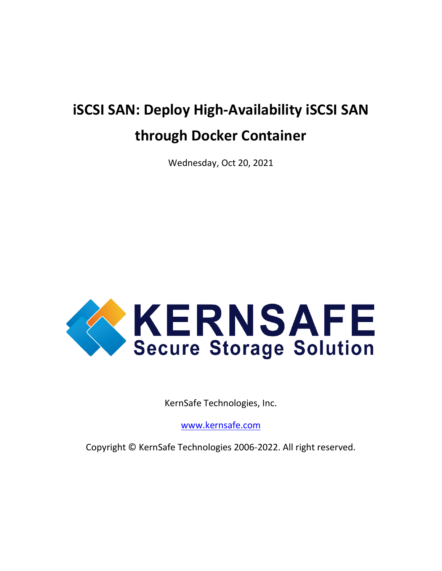# **iSCSI SAN: Deploy High-Availability iSCSI SAN through Docker Container**

Wednesday, Oct 20, 2021



KernSafe Technologies, Inc.

[www.kernsafe.com](http://www.kernsafe.com/)

Copyright © KernSafe Technologies 2006-2022. All right reserved.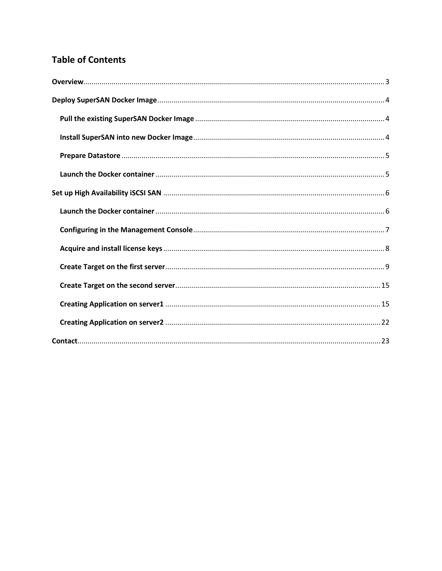#### **Table of Contents**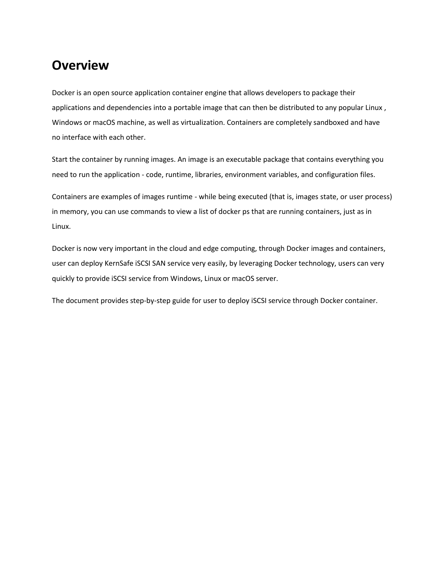#### <span id="page-2-0"></span>**Overview**

Docker is an open source application container engine that allows developers to package their applications and dependencies into a portable image that can then be distributed to any popular Linux, Windows or macOS machine, as well as virtualization. Containers are completely sandboxed and have no interface with each other.

Start the container by running images. An image is an executable package that contains everything you need to run the application - code, runtime, libraries, environment variables, and configuration files.

Containers are examples of images runtime - while being executed (that is, images state, or user process) in memory, you can use commands to view a list of docker ps that are running containers, just as in Linux.

Docker is now very important in the cloud and edge computing, through Docker images and containers, user can deploy KernSafe iSCSI SAN service very easily, by leveraging Docker technology, users can very quickly to provide iSCSI service from Windows, Linux or macOS server.

The document provides step-by-step guide for user to deploy iSCSI service through Docker container.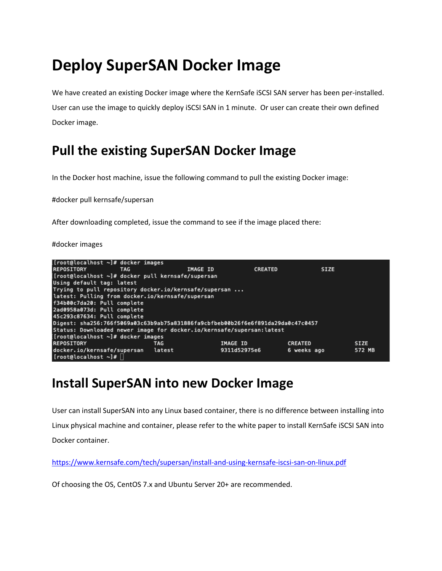# <span id="page-3-0"></span>**Deploy SuperSAN Docker Image**

We have created an existing Docker image where the KernSafe iSCSI SAN server has been per-installed. User can use the image to quickly deploy iSCSI SAN in 1 minute. Or user can create their own defined Docker image.

## <span id="page-3-1"></span>**Pull the existing SuperSAN Docker Image**

In the Docker host machine, issue the following command to pull the existing Docker image:

#docker pull kernsafe/supersan

After downloading completed, issue the command to see if the image placed there:

#docker images



### <span id="page-3-2"></span>**Install SuperSAN into new Docker Image**

User can install SuperSAN into any Linux based container, there is no difference between installing into Linux physical machine and container, please refer to the white paper to install KernSafe iSCSI SAN into Docker container.

<https://www.kernsafe.com/tech/supersan/install-and-using-kernsafe-iscsi-san-on-linux.pdf>

Of choosing the OS, CentOS 7.x and Ubuntu Server 20+ are recommended.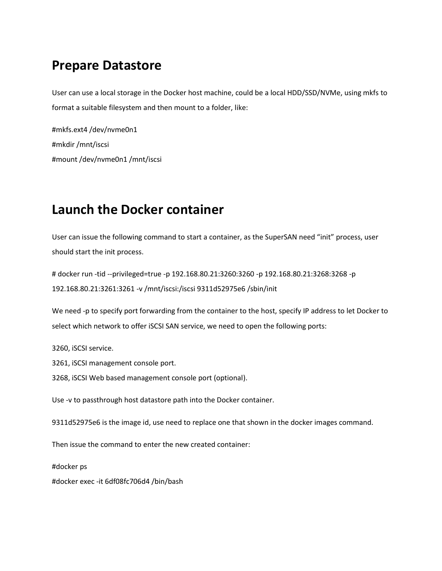### <span id="page-4-0"></span>**Prepare Datastore**

User can use a local storage in the Docker host machine, could be a local HDD/SSD/NVMe, using mkfs to format a suitable filesystem and then mount to a folder, like:

#mkfs.ext4 /dev/nvme0n1 #mkdir /mnt/iscsi #mount /dev/nvme0n1 /mnt/iscsi

## <span id="page-4-1"></span>**Launch the Docker container**

User can issue the following command to start a container, as the SuperSAN need "init" process, user should start the init process.

# docker run -tid --privileged=true -p 192.168.80.21:3260:3260 -p 192.168.80.21:3268:3268 -p 192.168.80.21:3261:3261 -v /mnt/iscsi:/iscsi 9311d52975e6 /sbin/init

We need -p to specify port forwarding from the container to the host, specify IP address to let Docker to select which network to offer iSCSI SAN service, we need to open the following ports:

3260, iSCSI service.

3261, iSCSI management console port.

3268, iSCSI Web based management console port (optional).

Use -v to passthrough host datastore path into the Docker container.

9311d52975e6 is the image id, use need to replace one that shown in the docker images command.

Then issue the command to enter the new created container:

#docker ps

#docker exec -it 6df08fc706d4 /bin/bash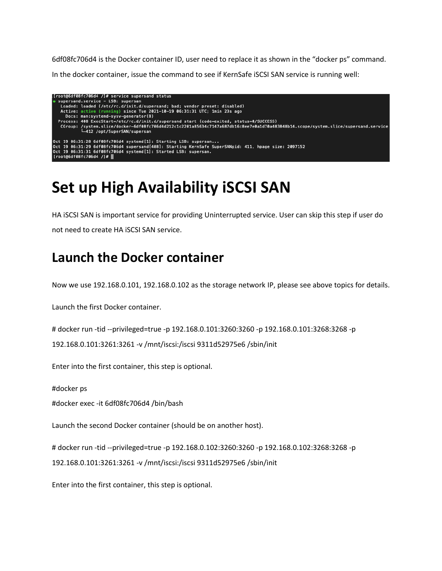6df08fc706d4 is the Docker container ID, user need to replace it as shown in the "docker ps" command.

In the docker container, issue the command to see if KernSafe iSCSI SAN service is running well:

```
[root@6df08fc706d4 /]# service supersand status<br>● supersand.service – LSB: supersan
    Loaded: loaded (/etc/rc.d/init.d/supersand; bad; vendor preset: disabled)<br>Active: active (running) since Tue 2021-10-19 06:31:31 UTC; 1min 23s ago<br>Docs: man:systemd-sysv-generator(8)
   Process: 408 ExecStart=/etc/rc.d/init.d/supersand start (code=exited, status=0/SUCCESS)<br>CGroup: /system.slice/docker-6df08fc706d4d212c1c2201a85634c7147a687db16c8ee7e0a1d70a483848b14.scope/system.slice/supersand.service<br>| 4
Oct 19 06:31:28 6df08fc706d4 systemd[1]: Starting LSB: supersan...
Oct 19 06:31:29 6df08fc706d4 supersand[408]: Starting KernSafe SuperSANpid: 411, hpage size: 2097152<br>Oct 19 06:31:29 6df08fc706d4 supersand[408]: Starting KernSafe SuperSANpid: 411, hpage size: 2097152<br>[root@6df08fc706d4 /
```
# <span id="page-5-0"></span>**Set up High Availability iSCSI SAN**

HA iSCSI SAN is important service for providing Uninterrupted service. User can skip this step if user do not need to create HA iSCSI SAN service.

### <span id="page-5-1"></span>**Launch the Docker container**

Now we use 192.168.0.101, 192.168.0.102 as the storage network IP, please see above topics for details.

Launch the first Docker container.

# docker run -tid --privileged=true -p 192.168.0.101:3260:3260 -p 192.168.0.101:3268:3268 -p

192.168.0.101:3261:3261 -v /mnt/iscsi:/iscsi 9311d52975e6 /sbin/init

Enter into the first container, this step is optional.

#docker ps

#docker exec -it 6df08fc706d4 /bin/bash

Launch the second Docker container (should be on another host).

# docker run -tid --privileged=true -p 192.168.0.102:3260:3260 -p 192.168.0.102:3268:3268 -p 192.168.0.101:3261:3261 -v /mnt/iscsi:/iscsi 9311d52975e6 /sbin/init

Enter into the first container, this step is optional.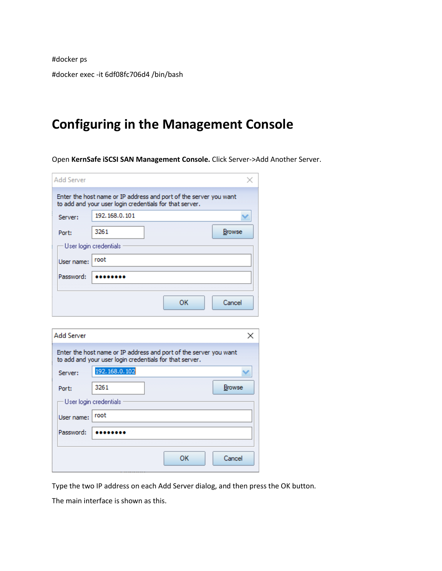#docker ps #docker exec -it 6df08fc706d4 /bin/bash

# <span id="page-6-0"></span>**Configuring in the Management Console**

Open **KernSafe iSCSI SAN Management Console.** Click Server->Add Another Server.

| <b>Add Server</b> |                        |                                                                                                                              |               |
|-------------------|------------------------|------------------------------------------------------------------------------------------------------------------------------|---------------|
|                   |                        | Enter the host name or IP address and port of the server you want<br>to add and your user login credentials for that server. |               |
| Server:           | 192, 168, 0, 101       |                                                                                                                              |               |
| Port:             | 3261                   |                                                                                                                              | <b>Browse</b> |
|                   | User login credentials |                                                                                                                              |               |
| User name:        | root                   |                                                                                                                              |               |
| Password:         |                        |                                                                                                                              |               |
|                   |                        |                                                                                                                              |               |
|                   |                        | OK                                                                                                                           | Cancel        |
|                   |                        |                                                                                                                              |               |
| <b>Add Server</b> |                        |                                                                                                                              | $\times$      |
|                   |                        | Enter the host name or IP address and port of the server you want<br>to add and your user login credentials for that server. |               |
| Server:           | 192.168.0.102          |                                                                                                                              |               |
| Port:             | 3261                   |                                                                                                                              | <b>Browse</b> |
|                   | User login credentials |                                                                                                                              |               |
| Liser name:       | root                   |                                                                                                                              |               |
| Password:         |                        |                                                                                                                              |               |
|                   |                        |                                                                                                                              |               |
|                   |                        | OK                                                                                                                           | Cancel        |

Type the two IP address on each Add Server dialog, and then press the OK button.

The main interface is shown as this.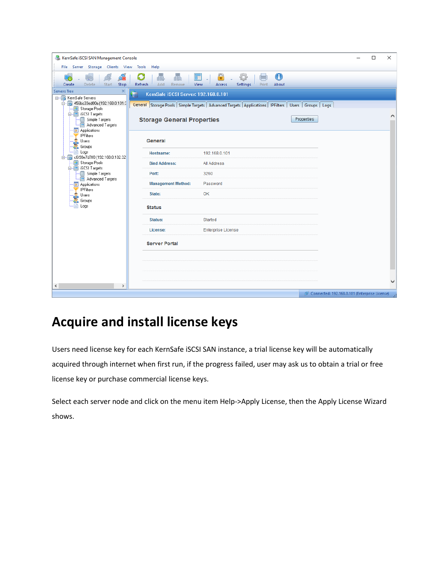| KernSafe iSCSI SAN Management Console<br>X<br>□<br>File Server Storage Clients View<br>Tools<br>Help |                                                                                                                                    |                                                                                                                |  |  |  |
|------------------------------------------------------------------------------------------------------|------------------------------------------------------------------------------------------------------------------------------------|----------------------------------------------------------------------------------------------------------------|--|--|--|
| Delete<br>Create<br>Start<br>Stop                                                                    | 聶<br>Refresh<br>Add.<br>Remove                                                                                                     | $\bigodot$<br>$\color{red} \widehat{\color{red} \bullet}$<br>亍<br>View<br>Access<br>Settings<br>About<br>Print |  |  |  |
| <b>Servers Tree</b><br>$\boldsymbol{\times}$                                                         | Œ<br>KernSafe iSCSI Server: 192.168.0.101                                                                                          |                                                                                                                |  |  |  |
| p. 5 456bc33ed00a (192.168.0.101:3                                                                   | E-F KernSafe Servers<br>General Storage Pools Simple Targets   Advanced Targets   Applications   IPFilters   Users   Groups   Logs |                                                                                                                |  |  |  |
| Storage Pools<br><b>E</b> iSCSI Targets<br>Simple Targets<br>Advanced Targets<br>Applications        | <b>Storage General Properties</b>                                                                                                  | Properties                                                                                                     |  |  |  |
| <b>IPFilters</b><br>Users<br>Groups                                                                  | General                                                                                                                            |                                                                                                                |  |  |  |
| -B)<br>Logs<br>G-5 c6f98e7d7ff8 (192.168.0.102:32                                                    | <b>Hostname:</b>                                                                                                                   | 192.168.0.101                                                                                                  |  |  |  |
| Storage Pools<br>. E<br><b>E</b> iSCSI Targets                                                       | <b>Bind Address:</b>                                                                                                               | All Address                                                                                                    |  |  |  |
| Simple Targets<br>Advanced Targets                                                                   | Port:                                                                                                                              | 3260                                                                                                           |  |  |  |
| Applications                                                                                         | <b>Management Method:</b>                                                                                                          | Password                                                                                                       |  |  |  |
| <b>IPFilters</b><br>Users                                                                            | State:                                                                                                                             | OK                                                                                                             |  |  |  |
| Groups<br>Logs                                                                                       | <b>Status</b>                                                                                                                      |                                                                                                                |  |  |  |
|                                                                                                      | <b>Status:</b>                                                                                                                     | Started                                                                                                        |  |  |  |
|                                                                                                      | License:                                                                                                                           | <b>Enterprise License</b>                                                                                      |  |  |  |
|                                                                                                      | <b>Server Portal</b>                                                                                                               |                                                                                                                |  |  |  |
|                                                                                                      |                                                                                                                                    |                                                                                                                |  |  |  |
|                                                                                                      |                                                                                                                                    |                                                                                                                |  |  |  |
| $\hat{~}$<br>$\rightarrow$                                                                           |                                                                                                                                    |                                                                                                                |  |  |  |
|                                                                                                      |                                                                                                                                    | Connected: 192.168.0.101 (Enterprise License)                                                                  |  |  |  |

# <span id="page-7-0"></span>**Acquire and install license keys**

Users need license key for each KernSafe iSCSI SAN instance, a trial license key will be automatically acquired through internet when first run, if the progress failed, user may ask us to obtain a trial or free license key or purchase commercial license keys.

Select each server node and click on the menu item Help->Apply License, then the Apply License Wizard shows.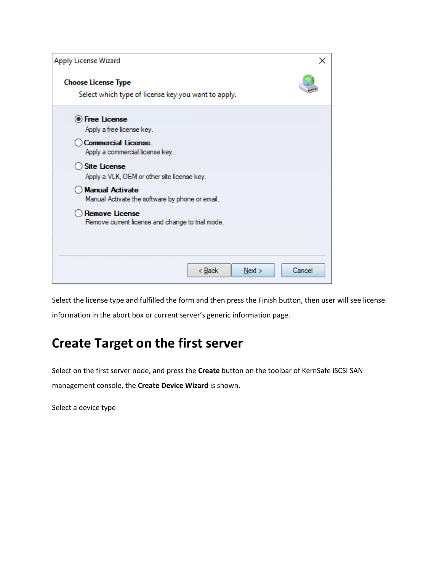| Apply License Wizard                                                              | ×      |
|-----------------------------------------------------------------------------------|--------|
| <b>Choose License Type</b><br>Select which type of license key you want to apply. |        |
| <b>O</b> Free License<br>Apply a free license key.                                |        |
| Commercial License.<br>Apply a commercial license key.                            |        |
| <b>Site License</b><br>Apply a VLK, OEM or other site license key.                |        |
| <b>Manual Activate</b><br>Manual Activate the software by phone or email.         |        |
| <b>Remove License</b><br>Remove current license and change to trial mode.         |        |
|                                                                                   |        |
| < <u>B</u> ack<br>Next >                                                          | Cancel |

Select the license type and fulfilled the form and then press the Finish button, then user will see license information in the abort box or current server's generic information page.

# <span id="page-8-0"></span>**Create Target on the first server**

Select on the first server node, and press the **Create** button on the toolbar of KernSafe iSCSI SAN management console, the **Create Device Wizard** is shown.

Select a device type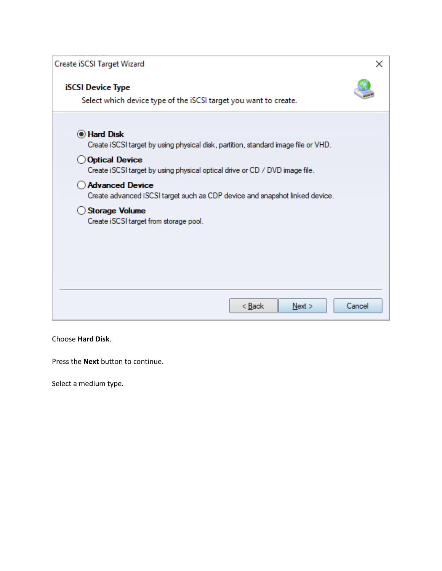| Create iSCSI Target Wizard                                                                                                        | ×      |
|-----------------------------------------------------------------------------------------------------------------------------------|--------|
| <b>iSCSI Device Type</b><br>Select which device type of the iSCSI target you want to create.                                      |        |
| <b>I</b> Hard Disk<br>Create iSCSI target by using physical disk, partition, standard image file or VHD.<br><b>Optical Device</b> |        |
| Create iSCSI target by using physical optical drive or CD / DVD image file.                                                       |        |
| <b>Advanced Device</b><br>Create advanced iSCSI target such as CDP device and snapshot linked device.                             |        |
| <b>Storage Volume</b><br>Create iSCSI target from storage pool.                                                                   |        |
|                                                                                                                                   |        |
|                                                                                                                                   |        |
| Next ><br>< Back                                                                                                                  | Cancel |

#### Choose **Hard Disk**.

Press the **Next** button to continue.

Select a medium type.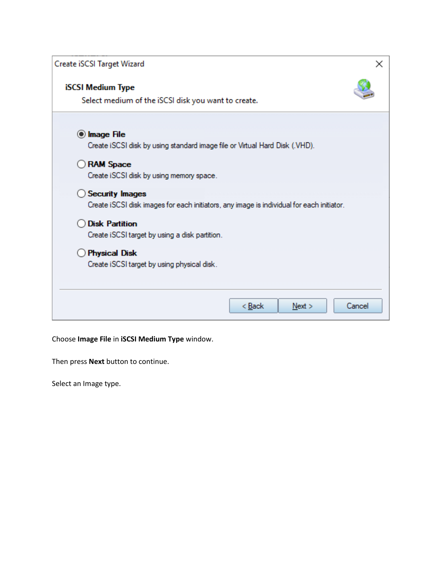| Create iSCSI Target Wizard                                                                                          | ×      |
|---------------------------------------------------------------------------------------------------------------------|--------|
| <b>iSCSI Medium Type</b><br>Select medium of the iSCSI disk you want to create.                                     |        |
| O Image File<br>Create iSCSI disk by using standard image file or Virtual Hard Disk (.VHD).                         |        |
| <b>RAM Space</b><br>Create iSCSI disk by using memory space.                                                        |        |
| <b>Security Images</b><br>Create iSCSI disk images for each initiators, any image is individual for each initiator. |        |
| <b>Disk Partition</b><br>Create iSCSI target by using a disk partition.                                             |        |
| <b>Physical Disk</b><br>Create iSCSI target by using physical disk.                                                 |        |
| < Back<br>Next                                                                                                      | Cancel |

#### Choose **Image File** in **iSCSI Medium Type** window.

Then press **Next** button to continue.

Select an Image type.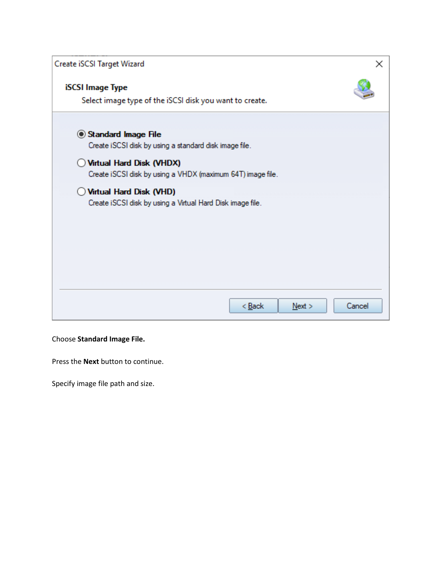| Create iSCSI Target Wizard                                                              | ×      |
|-----------------------------------------------------------------------------------------|--------|
| <b>iSCSI</b> Image Type<br>Select image type of the iSCSI disk you want to create.      |        |
| Standard Image File<br>Create iSCSI disk by using a standard disk image file.           |        |
| Virtual Hard Disk (VHDX)<br>Create iSCSI disk by using a VHDX (maximum 64T) image file. |        |
| Virtual Hard Disk (VHD)<br>Create iSCSI disk by using a Virtual Hard Disk image file.   |        |
| < <u>B</u> ack<br>Next                                                                  | Cancel |

#### Choose **Standard Image File.**

Press the **Next** button to continue.

Specify image file path and size.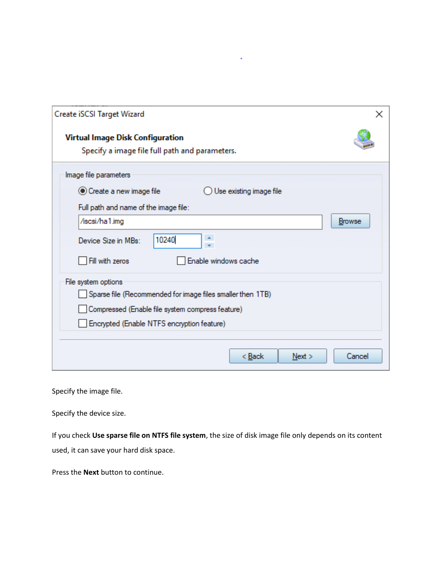| Create iSCSI Target Wizard<br>×                                                    |
|------------------------------------------------------------------------------------|
| Virtual Image Disk Configuration<br>Specify a image file full path and parameters. |
| Image file parameters                                                              |
| ◉ Create a new image file<br>Use existing image file                               |
| Full path and name of the image file:                                              |
| /iscsi/ha1.img<br>Browse                                                           |
| 10240<br>Device Size in MBs:                                                       |
| Enable windows cache<br>Fill with zeros                                            |
| File system options                                                                |
| Sparse file (Recommended for image files smaller then 1TB)                         |
| Compressed (Enable file system compress feature)                                   |
| Encrypted (Enable NTFS encryption feature)                                         |
|                                                                                    |
| < <u>B</u> ack<br>Next<br>Cancel                                                   |

¥

Specify the image file.

Specify the device size.

If you check **Use sparse file on NTFS file system**, the size of disk image file only depends on its content used, it can save your hard disk space.

Press the **Next** button to continue.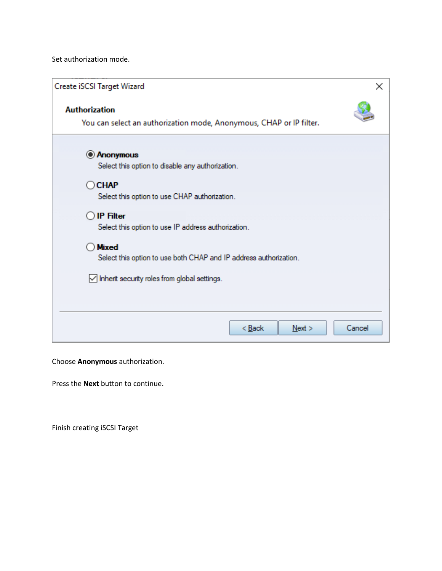Set authorization mode.

| Create iSCSI Target Wizard                                                                  | $\times$ |
|---------------------------------------------------------------------------------------------|----------|
| <b>Authorization</b><br>You can select an authorization mode, Anonymous, CHAP or IP filter. |          |
| <b>Anonymous</b><br>Select this option to disable any authorization.                        |          |
| $\bigcirc$ CHAP<br>Select this option to use CHAP authorization.                            |          |
| <b>IP Filter</b><br>Select this option to use IP address authorization.                     |          |
| <b>Mixed</b><br>Select this option to use both CHAP and IP address authorization.           |          |
| $\vee$ Inherit security roles from global settings.                                         |          |
|                                                                                             |          |
| < Back<br>Next<br>Cancel                                                                    |          |

Choose **Anonymous** authorization.

Press the **Next** button to continue.

Finish creating iSCSI Target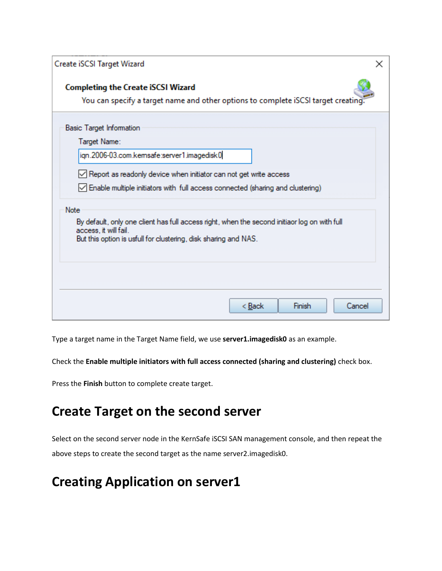| Create iSCSI Target Wizard                                                                                                                                                                                                                                    | x |
|---------------------------------------------------------------------------------------------------------------------------------------------------------------------------------------------------------------------------------------------------------------|---|
| <b>Completing the Create iSCSI Wizard</b><br>You can specify a target name and other options to complete iSCSI target creating                                                                                                                                |   |
| <b>Basic Target Information</b><br>Target Name:<br>ign.2006-03.com.kemsafe:server1.imagedisk0<br>$\vee$ Report as readonly device when initiator can not get write access<br>√ Enable multiple initiators with full access connected (sharing and clustering) |   |
| Note<br>By default, only one client has full access right, when the second initiaor log on with full<br>access, it will fail.<br>But this option is usfull for clustering, disk sharing and NAS.                                                              |   |
| < Back<br>Finish<br>Cancel                                                                                                                                                                                                                                    |   |

Type a target name in the Target Name field, we use **server1.imagedisk0** as an example.

Check the **Enable multiple initiators with full access connected (sharing and clustering)** check box.

Press the **Finish** button to complete create target.

### <span id="page-14-0"></span>**Create Target on the second server**

Select on the second server node in the KernSafe iSCSI SAN management console, and then repeat the above steps to create the second target as the name server2.imagedisk0.

### <span id="page-14-1"></span>**Creating Application on server1**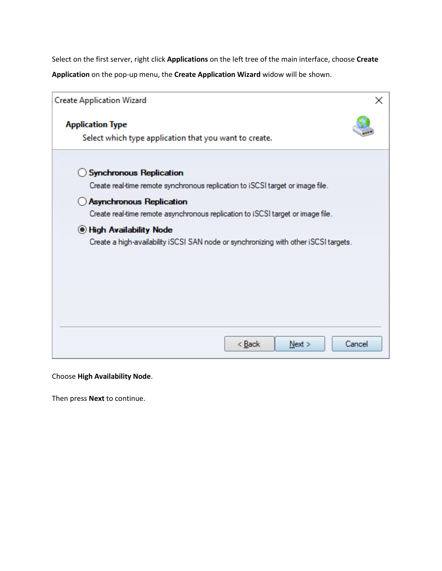Select on the first server, right click **Applications** on the left tree of the main interface, choose **Create Application** on the pop-up menu, the **Create Application Wizard** widow will be shown.

| <b>Create Application Wizard</b>                                                                                     | ×      |
|----------------------------------------------------------------------------------------------------------------------|--------|
| <b>Application Type</b><br>Select which type application that you want to create.                                    |        |
| <b>Synchronous Replication</b><br>Create real-time remote synchronous replication to iSCSI target or image file.     |        |
| <b>Asynchronous Replication</b><br>Create real-time remote asynchronous replication to iSCSI target or image file.   |        |
| <b>Ion Availability Node</b><br>Create a high-availability iSCSI SAN node or synchronizing with other iSCSI targets. |        |
|                                                                                                                      |        |
| $Back$<br>Next >                                                                                                     | Cancel |

Choose **High Availability Node**.

Then press **Next** to continue.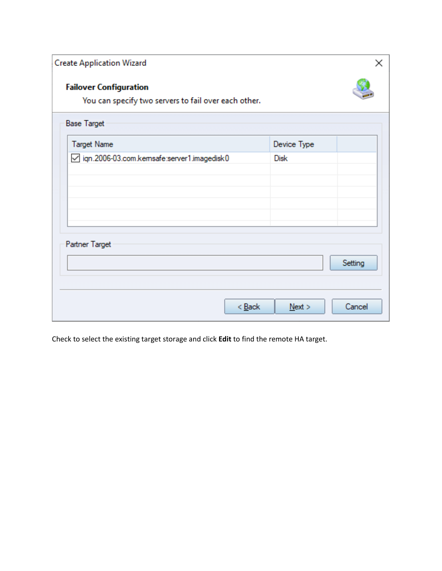| <b>Create Application Wizard</b>                                                      | ×                         |
|---------------------------------------------------------------------------------------|---------------------------|
| <b>Failover Configuration</b><br>You can specify two servers to fail over each other. |                           |
| <b>Base Target</b>                                                                    |                           |
| <b>Target Name</b>                                                                    | Device Type               |
| □ iqn.2006-03.com.kemsafe:server1.imagedisk0                                          | <b>Disk</b>               |
| Partner Target<br>$<$ Back                                                            | Setting<br>Cancel<br>Next |

Check to select the existing target storage and click **Edit** to find the remote HA target.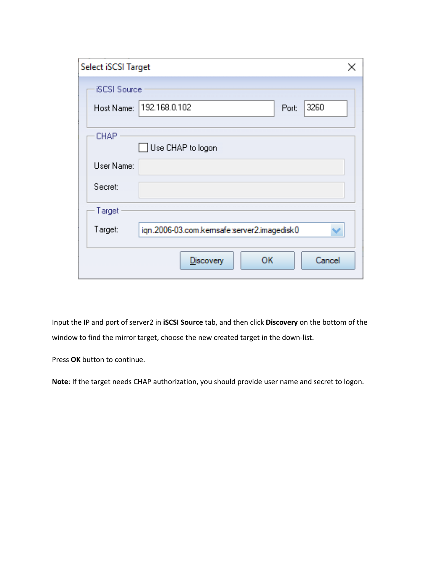| Select iSCSI Target |                                            |
|---------------------|--------------------------------------------|
| <b>iSCSI</b> Source |                                            |
|                     | Host Name: 192.168.0.102<br>3260<br>Port:  |
| <b>CHAP</b>         | Use CHAP to logon                          |
| User Name:          |                                            |
| Secret:             |                                            |
| Target              |                                            |
| Target:             | ign.2006-03.com.kemsafe:server2.imagedisk0 |
|                     | Cancel<br>ОΚ<br><b>Discovery</b>           |

Input the IP and port of server2 in **iSCSI Source** tab, and then click **Discovery** on the bottom of the window to find the mirror target, choose the new created target in the down-list.

Press **OK** button to continue.

**Note**: If the target needs CHAP authorization, you should provide user name and secret to logon.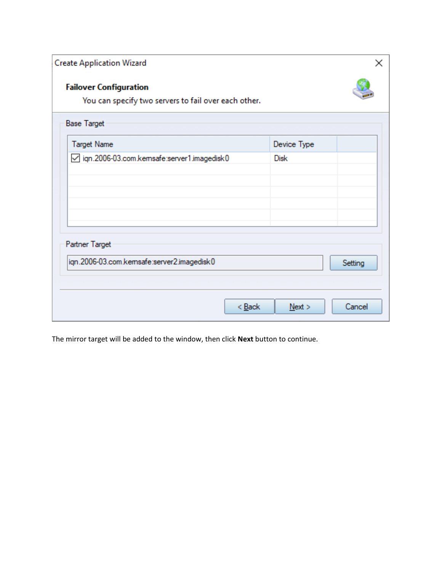| <b>Failover Configuration</b><br>You can specify two servers to fail over each other. |             |         |
|---------------------------------------------------------------------------------------|-------------|---------|
|                                                                                       |             |         |
| <b>Base Target</b>                                                                    |             |         |
| <b>Target Name</b>                                                                    | Device Type |         |
| □ iqn.2006-03.com.kemsafe:server1.imagedisk0                                          | <b>Disk</b> |         |
|                                                                                       |             |         |
|                                                                                       |             |         |
|                                                                                       |             |         |
|                                                                                       |             |         |
| Partner Target                                                                        |             |         |
|                                                                                       |             |         |
| ign.2006-03.com.kemsafe:server2.imagedisk0                                            |             | Setting |
|                                                                                       |             |         |
|                                                                                       |             |         |

The mirror target will be added to the window, then click **Next** button to continue.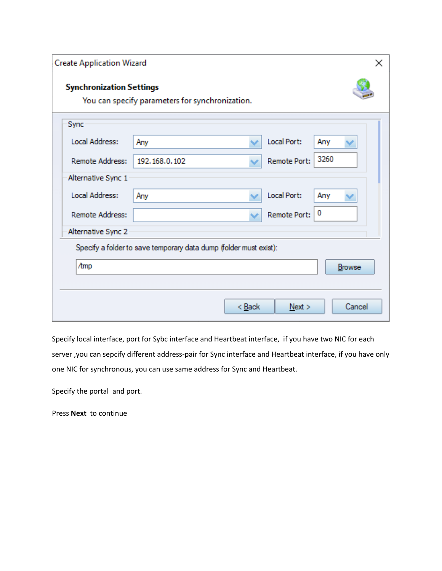| <b>Create Application Wizard</b><br>× |                                                                   |        |              |        |  |
|---------------------------------------|-------------------------------------------------------------------|--------|--------------|--------|--|
| <b>Synchronization Settings</b>       | You can specify parameters for synchronization.                   |        |              |        |  |
| Sync                                  |                                                                   |        |              |        |  |
| Local Address:                        | Any                                                               |        | Local Port:  | Any    |  |
| <b>Remote Address:</b>                | 192, 168, 0, 102                                                  |        | Remote Port: | 3260   |  |
| Alternative Sync 1                    |                                                                   |        |              |        |  |
| Local Address:                        | Any                                                               |        | Local Port:  | Any    |  |
| <b>Remote Address:</b>                |                                                                   |        | Remote Port: | 0      |  |
| Alternative Sync 2                    |                                                                   |        |              |        |  |
|                                       | Specify a folder to save temporary data dump (folder must exist): |        |              |        |  |
| /tmp                                  |                                                                   |        |              | Browse |  |
|                                       |                                                                   |        |              |        |  |
|                                       |                                                                   | < Back | Next         | Cancel |  |

Specify local interface, port for Sybc interface and Heartbeat interface, if you have two NIC for each server ,you can sepcify different address-pair for Sync interface and Heartbeat interface, if you have only one NIC for synchronous, you can use same address for Sync and Heartbeat.

Specify the portal and port.

Press **Next** to continue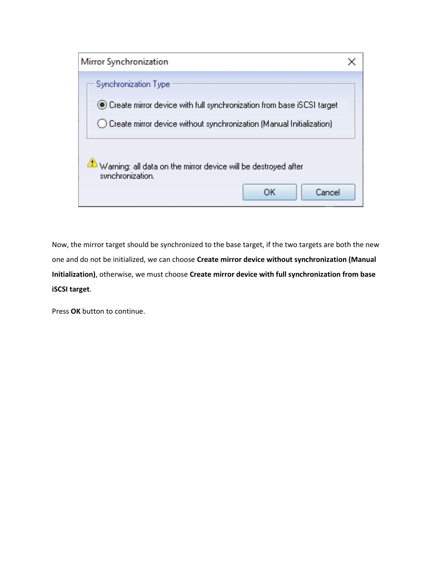

Now, the mirror target should be synchronized to the base target, if the two targets are both the new one and do not be initialized, we can choose **Create mirror device without synchronization (Manual Initialization)**, otherwise, we must choose **Create mirror device with full synchronization from base iSCSI target**.

Press **OK** button to continue.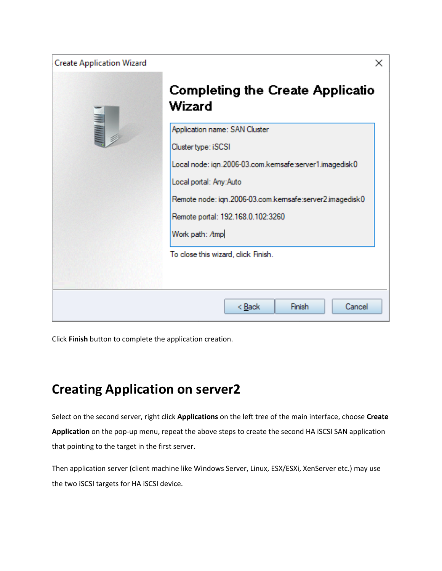

Click **Finish** button to complete the application creation.

# <span id="page-21-0"></span>**Creating Application on server2**

Select on the second server, right click **Applications** on the left tree of the main interface, choose **Create Application** on the pop-up menu, repeat the above steps to create the second HA iSCSI SAN application that pointing to the target in the first server.

Then application server (client machine like Windows Server, Linux, ESX/ESXi, XenServer etc.) may use the two iSCSI targets for HA iSCSI device.